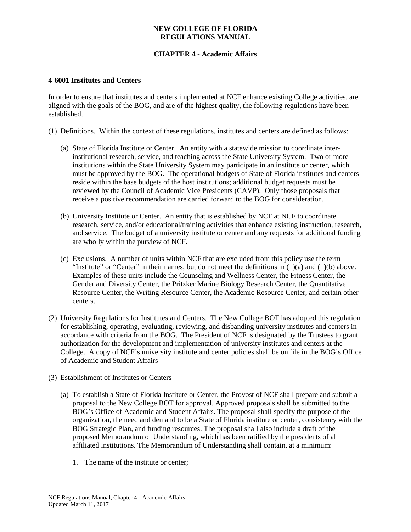# **CHAPTER 4 - Academic Affairs**

#### **4-6001 Institutes and Centers**

In order to ensure that institutes and centers implemented at NCF enhance existing College activities, are aligned with the goals of the BOG, and are of the highest quality, the following regulations have been established.

(1) Definitions. Within the context of these regulations, institutes and centers are defined as follows:

- (a) State of Florida Institute or Center. An entity with a statewide mission to coordinate interinstitutional research, service, and teaching across the State University System. Two or more institutions within the State University System may participate in an institute or center, which must be approved by the BOG. The operational budgets of State of Florida institutes and centers reside within the base budgets of the host institutions; additional budget requests must be reviewed by the Council of Academic Vice Presidents (CAVP). Only those proposals that receive a positive recommendation are carried forward to the BOG for consideration.
- (b) University Institute or Center. An entity that is established by NCF at NCF to coordinate research, service, and/or educational/training activities that enhance existing instruction, research, and service. The budget of a university institute or center and any requests for additional funding are wholly within the purview of NCF.
- (c) Exclusions. A number of units within NCF that are excluded from this policy use the term "Institute" or "Center" in their names, but do not meet the definitions in  $(1)(a)$  and  $(1)(b)$  above. Examples of these units include the Counseling and Wellness Center, the Fitness Center, the Gender and Diversity Center, the Pritzker Marine Biology Research Center, the Quantitative Resource Center, the Writing Resource Center, the Academic Resource Center, and certain other centers.
- (2) University Regulations for Institutes and Centers. The New College BOT has adopted this regulation for establishing, operating, evaluating, reviewing, and disbanding university institutes and centers in accordance with criteria from the BOG. The President of NCF is designated by the Trustees to grant authorization for the development and implementation of university institutes and centers at the College. A copy of NCF's university institute and center policies shall be on file in the BOG's Office of Academic and Student Affairs
- (3) Establishment of Institutes or Centers
	- (a) To establish a State of Florida Institute or Center, the Provost of NCF shall prepare and submit a proposal to the New College BOT for approval. Approved proposals shall be submitted to the BOG's Office of Academic and Student Affairs. The proposal shall specify the purpose of the organization, the need and demand to be a State of Florida institute or center, consistency with the BOG Strategic Plan, and funding resources. The proposal shall also include a draft of the proposed Memorandum of Understanding, which has been ratified by the presidents of all affiliated institutions. The Memorandum of Understanding shall contain, at a minimum:
		- 1. The name of the institute or center;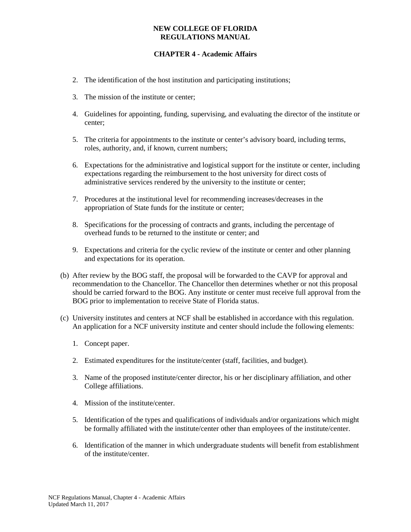# **CHAPTER 4 - Academic Affairs**

- 2. The identification of the host institution and participating institutions;
- 3. The mission of the institute or center;
- 4. Guidelines for appointing, funding, supervising, and evaluating the director of the institute or center;
- 5. The criteria for appointments to the institute or center's advisory board, including terms, roles, authority, and, if known, current numbers;
- 6. Expectations for the administrative and logistical support for the institute or center, including expectations regarding the reimbursement to the host university for direct costs of administrative services rendered by the university to the institute or center;
- 7. Procedures at the institutional level for recommending increases/decreases in the appropriation of State funds for the institute or center;
- 8. Specifications for the processing of contracts and grants, including the percentage of overhead funds to be returned to the institute or center; and
- 9. Expectations and criteria for the cyclic review of the institute or center and other planning and expectations for its operation.
- (b) After review by the BOG staff, the proposal will be forwarded to the CAVP for approval and recommendation to the Chancellor. The Chancellor then determines whether or not this proposal should be carried forward to the BOG. Any institute or center must receive full approval from the BOG prior to implementation to receive State of Florida status.
- (c) University institutes and centers at NCF shall be established in accordance with this regulation. An application for a NCF university institute and center should include the following elements:
	- 1. Concept paper.
	- 2. Estimated expenditures for the institute/center (staff, facilities, and budget).
	- 3. Name of the proposed institute/center director, his or her disciplinary affiliation, and other College affiliations.
	- 4. Mission of the institute/center.
	- 5. Identification of the types and qualifications of individuals and/or organizations which might be formally affiliated with the institute/center other than employees of the institute/center.
	- 6. Identification of the manner in which undergraduate students will benefit from establishment of the institute/center.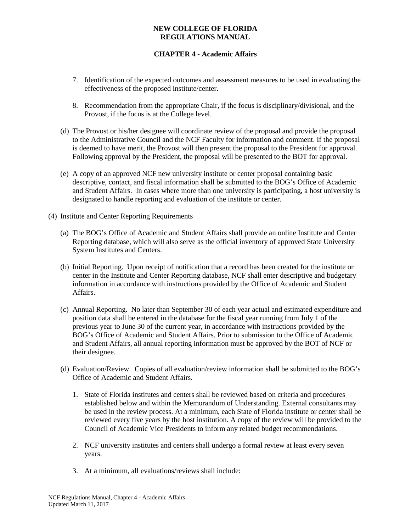# **CHAPTER 4 - Academic Affairs**

- 7. Identification of the expected outcomes and assessment measures to be used in evaluating the effectiveness of the proposed institute/center.
- 8. Recommendation from the appropriate Chair, if the focus is disciplinary/divisional, and the Provost, if the focus is at the College level.
- (d) The Provost or his/her designee will coordinate review of the proposal and provide the proposal to the Administrative Council and the NCF Faculty for information and comment. If the proposal is deemed to have merit, the Provost will then present the proposal to the President for approval. Following approval by the President, the proposal will be presented to the BOT for approval.
- (e) A copy of an approved NCF new university institute or center proposal containing basic descriptive, contact, and fiscal information shall be submitted to the BOG's Office of Academic and Student Affairs. In cases where more than one university is participating, a host university is designated to handle reporting and evaluation of the institute or center.
- (4) Institute and Center Reporting Requirements
	- (a) The BOG's Office of Academic and Student Affairs shall provide an online Institute and Center Reporting database, which will also serve as the official inventory of approved State University System Institutes and Centers.
	- (b) Initial Reporting. Upon receipt of notification that a record has been created for the institute or center in the Institute and Center Reporting database, NCF shall enter descriptive and budgetary information in accordance with instructions provided by the Office of Academic and Student Affairs.
	- (c) Annual Reporting. No later than September 30 of each year actual and estimated expenditure and position data shall be entered in the database for the fiscal year running from July 1 of the previous year to June 30 of the current year, in accordance with instructions provided by the BOG's Office of Academic and Student Affairs. Prior to submission to the Office of Academic and Student Affairs, all annual reporting information must be approved by the BOT of NCF or their designee.
	- (d) Evaluation/Review. Copies of all evaluation/review information shall be submitted to the BOG's Office of Academic and Student Affairs.
		- 1. State of Florida institutes and centers shall be reviewed based on criteria and procedures established below and within the Memorandum of Understanding. External consultants may be used in the review process. At a minimum, each State of Florida institute or center shall be reviewed every five years by the host institution. A copy of the review will be provided to the Council of Academic Vice Presidents to inform any related budget recommendations.
		- 2. NCF university institutes and centers shall undergo a formal review at least every seven years.
		- 3. At a minimum, all evaluations/reviews shall include: